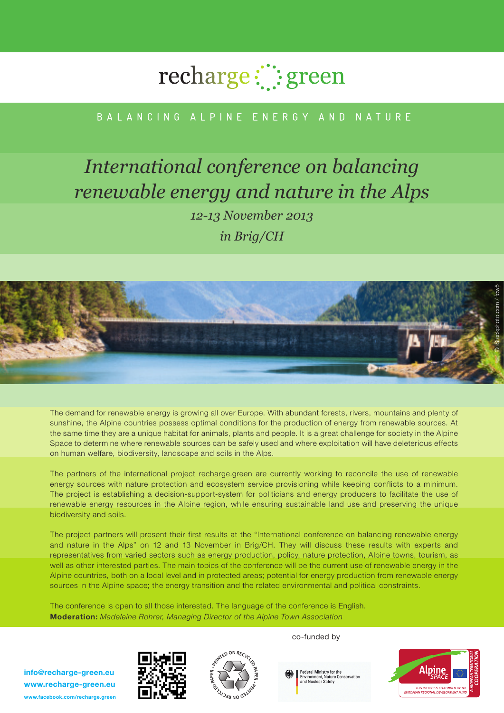# recharge:": green

## BAIANCING AIPINF FNFRGY AND NATURF

## *International conference on balancing renewable energy and nature in the Alps 12-13 November 2013 in Brig/CH*



The demand for renewable energy is growing all over Europe. With abundant forests, rivers, mountains and plenty of sunshine, the Alpine countries possess optimal conditions for the production of energy from renewable sources. At the same time they are a unique habitat for animals, plants and people. It is a great challenge for society in the Alpine Space to determine where renewable sources can be safely used and where exploitation will have deleterious effects on human welfare, biodiversity, landscape and soils in the Alps.

The partners of the international project recharge.green are currently working to reconcile the use of renewable energy sources with nature protection and ecosystem service provisioning while keeping conflicts to a minimum. The project is establishing a decision-support-system for politicians and energy producers to facilitate the use of renewable energy resources in the Alpine region, while ensuring sustainable land use and preserving the unique biodiversity and soils.

The project partners will present their first results at the "International conference on balancing renewable energy and nature in the Alps" on 12 and 13 November in Brig/CH. They will discuss these results with experts and representatives from varied sectors such as energy production, policy, nature protection, Alpine towns, tourism, as well as other interested parties. The main topics of the conference will be the current use of renewable energy in the Alpine countries, both on a local level and in protected areas; potential for energy production from renewable energy sources in the Alpine space; the energy transition and the related environmental and political constraints.

The conference is open to all those interested. The language of the conference is English. Moderation: Madeleine Rohrer, Managing Director of the Alpine Town Association

info@recharge-green.eu www.recharge-green.eu www.facebook.com/recharge.green





co-funded by

Federal Ministry for the<br>Environment, Nature Conservation<br>and Nuclear Safety